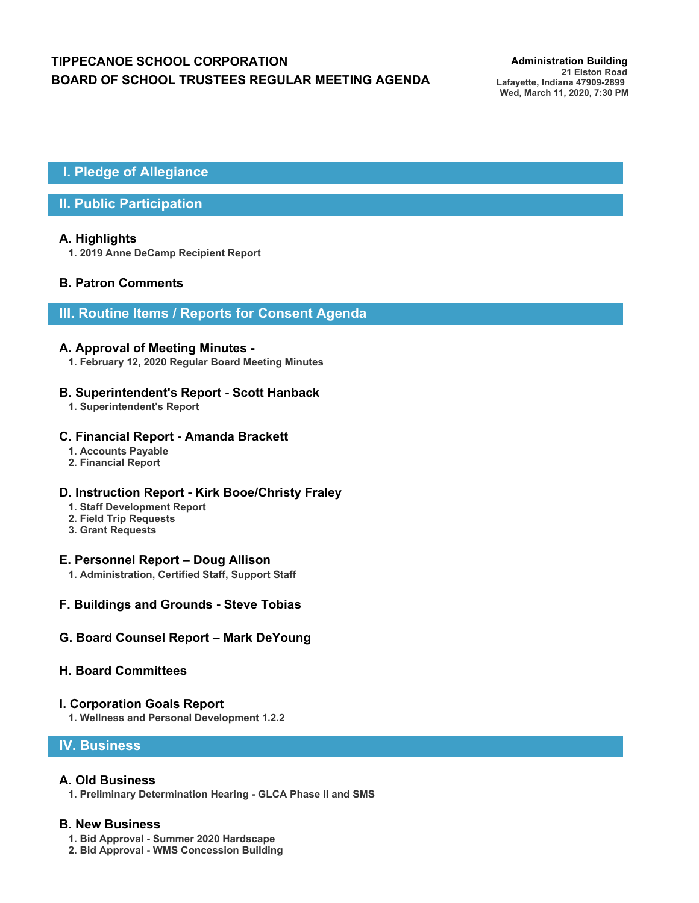# **TIPPECANOE SCHOOL CORPORATION** *Administration Building* **BOARD OF SCHOOL TRUSTEES REGULAR MEETING AGENDA**

**21 Elston Road Lafayette, Indiana 47909-2899 Wed, March 11, 2020, 7:30 PM**

 **I. Pledge of Allegiance**

# **II. Public Participation**

### **A. Highlights**

**1. 2019 Anne DeCamp Recipient Report**

# **B. Patron Comments**

# **III. Routine Items / Reports for Consent Agenda**

#### **A. Approval of Meeting Minutes -**

**1. February 12, 2020 Regular Board Meeting Minutes**

#### **B. Superintendent's Report - Scott Hanback**

**1. Superintendent's Report**

#### **C. Financial Report - Amanda Brackett**

- **1. Accounts Payable**
- **2. Financial Report**

#### **D. Instruction Report - Kirk Booe/Christy Fraley**

- **1. Staff Development Report**
- **2. Field Trip Requests**
- **3. Grant Requests**

#### **E. Personnel Report – Doug Allison**

**1. Administration, Certified Staff, Support Staff**

#### **F. Buildings and Grounds - Steve Tobias**

#### **G. Board Counsel Report – Mark DeYoung**

#### **H. Board Committees**

#### **I. Corporation Goals Report**

**1. Wellness and Personal Development 1.2.2**

## **IV. Business**

#### **A. Old Business**

**1. Preliminary Determination Hearing - GLCA Phase II and SMS**

#### **B. New Business**

- **1. Bid Approval Summer 2020 Hardscape**
- **2. Bid Approval WMS Concession Building**